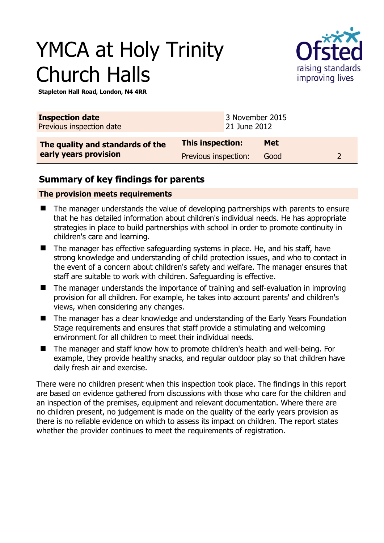# YMCA at Holy Trinity Church Halls



**Stapleton Hall Road, London, N4 4RR** 

| <b>Inspection date</b><br>Previous inspection date | 21 June 2012            | 3 November 2015 |  |
|----------------------------------------------------|-------------------------|-----------------|--|
| The quality and standards of the                   | <b>This inspection:</b> | <b>Met</b>      |  |
| early years provision                              | Previous inspection:    | Good            |  |

### **Summary of key findings for parents**

#### **The provision meets requirements**

- The manager understands the value of developing partnerships with parents to ensure that he has detailed information about children's individual needs. He has appropriate strategies in place to build partnerships with school in order to promote continuity in children's care and learning.
- The manager has effective safeguarding systems in place. He, and his staff, have strong knowledge and understanding of child protection issues, and who to contact in the event of a concern about children's safety and welfare. The manager ensures that staff are suitable to work with children. Safeguarding is effective.
- The manager understands the importance of training and self-evaluation in improving provision for all children. For example, he takes into account parents' and children's views, when considering any changes.
- The manager has a clear knowledge and understanding of the Early Years Foundation Stage requirements and ensures that staff provide a stimulating and welcoming environment for all children to meet their individual needs.
- The manager and staff know how to promote children's health and well-being. For example, they provide healthy snacks, and regular outdoor play so that children have daily fresh air and exercise.

There were no children present when this inspection took place. The findings in this report are based on evidence gathered from discussions with those who care for the children and an inspection of the premises, equipment and relevant documentation. Where there are no children present, no judgement is made on the quality of the early years provision as there is no reliable evidence on which to assess its impact on children. The report states whether the provider continues to meet the requirements of registration.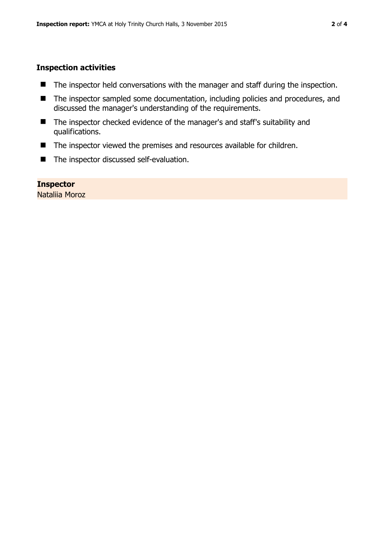#### **Inspection activities**

- The inspector held conversations with the manager and staff during the inspection.
- The inspector sampled some documentation, including policies and procedures, and discussed the manager's understanding of the requirements.
- The inspector checked evidence of the manager's and staff's suitability and qualifications.
- The inspector viewed the premises and resources available for children.
- The inspector discussed self-evaluation.

#### **Inspector**

Nataliia Moroz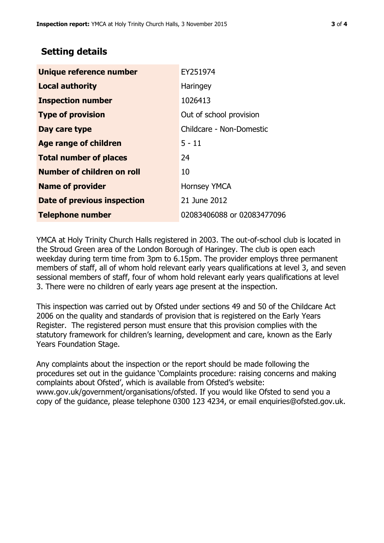## **Setting details**

| Unique reference number            | EY251974                   |
|------------------------------------|----------------------------|
| <b>Local authority</b>             | <b>Haringey</b>            |
| <b>Inspection number</b>           | 1026413                    |
| <b>Type of provision</b>           | Out of school provision    |
| Day care type                      | Childcare - Non-Domestic   |
| <b>Age range of children</b>       | $5 - 11$                   |
| <b>Total number of places</b>      | 24                         |
| Number of children on roll         | 10                         |
| <b>Name of provider</b>            | <b>Hornsey YMCA</b>        |
| <b>Date of previous inspection</b> | 21 June 2012               |
| <b>Telephone number</b>            | 02083406088 or 02083477096 |

YMCA at Holy Trinity Church Halls registered in 2003. The out-of-school club is located in the Stroud Green area of the London Borough of Haringey. The club is open each weekday during term time from 3pm to 6.15pm. The provider employs three permanent members of staff, all of whom hold relevant early years qualifications at level 3, and seven sessional members of staff, four of whom hold relevant early years qualifications at level 3. There were no children of early years age present at the inspection.

This inspection was carried out by Ofsted under sections 49 and 50 of the Childcare Act 2006 on the quality and standards of provision that is registered on the Early Years Register. The registered person must ensure that this provision complies with the statutory framework for children's learning, development and care, known as the Early Years Foundation Stage.

Any complaints about the inspection or the report should be made following the procedures set out in the guidance 'Complaints procedure: raising concerns and making complaints about Ofsted', which is available from Ofsted's website: www.gov.uk/government/organisations/ofsted. If you would like Ofsted to send you a copy of the guidance, please telephone 0300 123 4234, or email enquiries@ofsted.gov.uk.